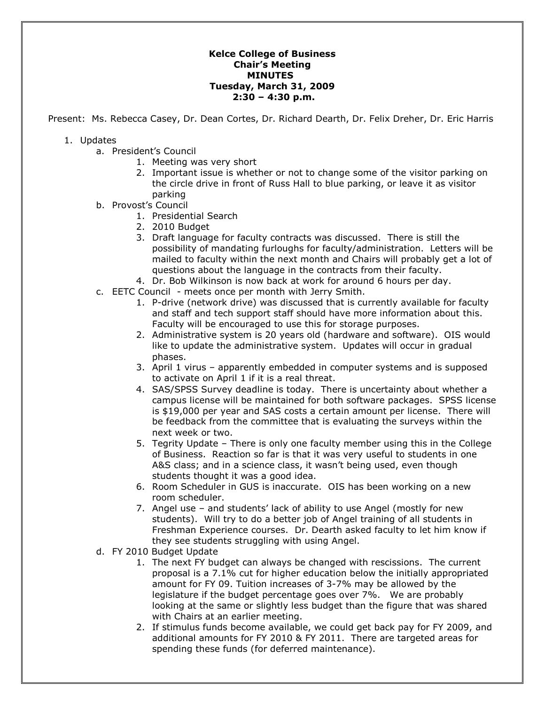## **Kelce College of Business Chair's Meeting MINUTES Tuesday, March 31, 2009 2:30 – 4:30 p.m.**

Present: Ms. Rebecca Casey, Dr. Dean Cortes, Dr. Richard Dearth, Dr. Felix Dreher, Dr. Eric Harris

## 1. Updates

- a. President's Council
	- 1. Meeting was very short
	- 2. Important issue is whether or not to change some of the visitor parking on the circle drive in front of Russ Hall to blue parking, or leave it as visitor parking
- b. Provost's Council
	- 1. Presidential Search
	- 2. 2010 Budget
	- 3. Draft language for faculty contracts was discussed. There is still the possibility of mandating furloughs for faculty/administration. Letters will be mailed to faculty within the next month and Chairs will probably get a lot of questions about the language in the contracts from their faculty.
	- 4. Dr. Bob Wilkinson is now back at work for around 6 hours per day.
- c. EETC Council meets once per month with Jerry Smith.
	- 1. P-drive (network drive) was discussed that is currently available for faculty and staff and tech support staff should have more information about this. Faculty will be encouraged to use this for storage purposes.
	- 2. Administrative system is 20 years old (hardware and software). OIS would like to update the administrative system. Updates will occur in gradual phases.
	- 3. April 1 virus apparently embedded in computer systems and is supposed to activate on April 1 if it is a real threat.
	- 4. SAS/SPSS Survey deadline is today. There is uncertainty about whether a campus license will be maintained for both software packages. SPSS license is \$19,000 per year and SAS costs a certain amount per license. There will be feedback from the committee that is evaluating the surveys within the next week or two.
	- 5. Tegrity Update There is only one faculty member using this in the College of Business. Reaction so far is that it was very useful to students in one A&S class; and in a science class, it wasn't being used, even though students thought it was a good idea.
	- 6. Room Scheduler in GUS is inaccurate. OIS has been working on a new room scheduler.
	- 7. Angel use and students' lack of ability to use Angel (mostly for new students). Will try to do a better job of Angel training of all students in Freshman Experience courses. Dr. Dearth asked faculty to let him know if they see students struggling with using Angel.
- d. FY 2010 Budget Update
	- 1. The next FY budget can always be changed with rescissions. The current proposal is a 7.1% cut for higher education below the initially appropriated amount for FY 09. Tuition increases of 3-7% may be allowed by the legislature if the budget percentage goes over 7%. We are probably looking at the same or slightly less budget than the figure that was shared with Chairs at an earlier meeting.
	- 2. If stimulus funds become available, we could get back pay for FY 2009, and additional amounts for FY 2010 & FY 2011. There are targeted areas for spending these funds (for deferred maintenance).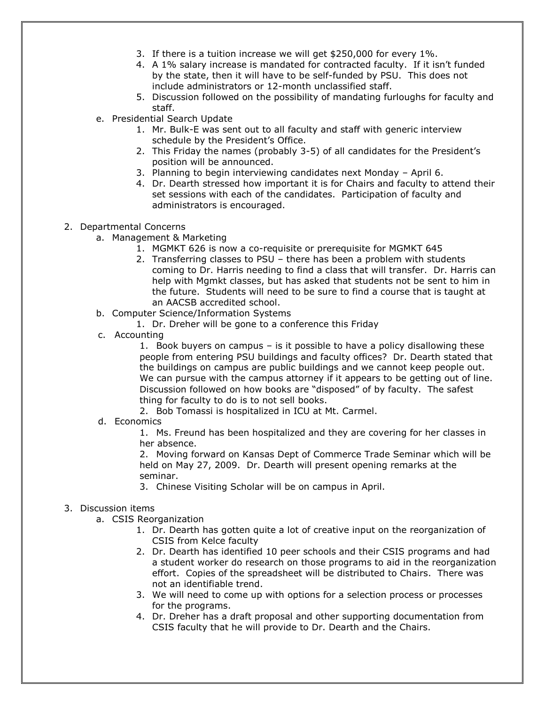- 3. If there is a tuition increase we will get \$250,000 for every 1%.
- 4. A 1% salary increase is mandated for contracted faculty. If it isn't funded by the state, then it will have to be self-funded by PSU. This does not include administrators or 12-month unclassified staff.
- 5. Discussion followed on the possibility of mandating furloughs for faculty and staff.
- e. Presidential Search Update
	- 1. Mr. Bulk-E was sent out to all faculty and staff with generic interview schedule by the President's Office.
	- 2. This Friday the names (probably 3-5) of all candidates for the President's position will be announced.
	- 3. Planning to begin interviewing candidates next Monday April 6.
	- 4. Dr. Dearth stressed how important it is for Chairs and faculty to attend their set sessions with each of the candidates. Participation of faculty and administrators is encouraged.

## 2. Departmental Concerns

- a. Management & Marketing
	- 1. MGMKT 626 is now a co-requisite or prerequisite for MGMKT 645
	- 2. Transferring classes to PSU there has been a problem with students coming to Dr. Harris needing to find a class that will transfer. Dr. Harris can help with Mgmkt classes, but has asked that students not be sent to him in the future. Students will need to be sure to find a course that is taught at an AACSB accredited school.
- b. Computer Science/Information Systems
	- 1. Dr. Dreher will be gone to a conference this Friday
- c. Accounting
	- 1. Book buyers on campus is it possible to have a policy disallowing these people from entering PSU buildings and faculty offices? Dr. Dearth stated that the buildings on campus are public buildings and we cannot keep people out. We can pursue with the campus attorney if it appears to be getting out of line. Discussion followed on how books are "disposed" of by faculty. The safest thing for faculty to do is to not sell books.
	- 2. Bob Tomassi is hospitalized in ICU at Mt. Carmel.
- d. Economics

1. Ms. Freund has been hospitalized and they are covering for her classes in her absence.

2. Moving forward on Kansas Dept of Commerce Trade Seminar which will be held on May 27, 2009. Dr. Dearth will present opening remarks at the seminar.

3. Chinese Visiting Scholar will be on campus in April.

## 3. Discussion items

- a. CSIS Reorganization
	- 1. Dr. Dearth has gotten quite a lot of creative input on the reorganization of CSIS from Kelce faculty
	- 2. Dr. Dearth has identified 10 peer schools and their CSIS programs and had a student worker do research on those programs to aid in the reorganization effort. Copies of the spreadsheet will be distributed to Chairs. There was not an identifiable trend.
	- 3. We will need to come up with options for a selection process or processes for the programs.
	- 4. Dr. Dreher has a draft proposal and other supporting documentation from CSIS faculty that he will provide to Dr. Dearth and the Chairs.